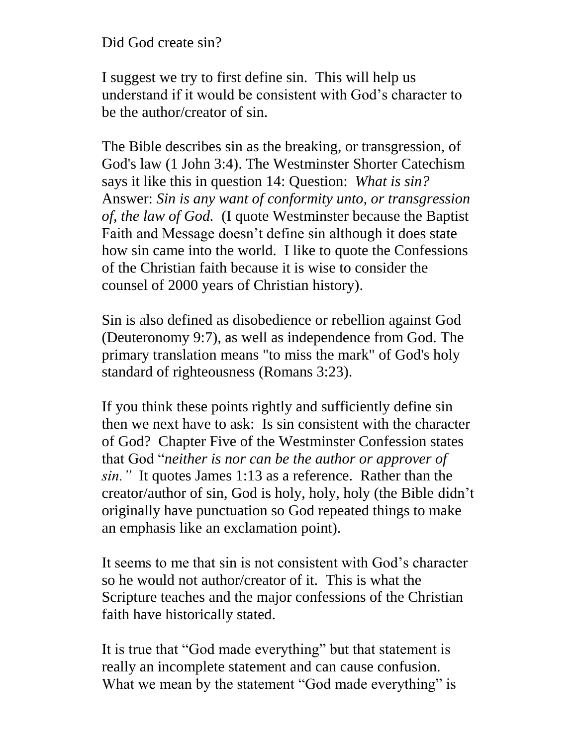## Did God create sin?

I suggest we try to first define sin. This will help us understand if it would be consistent with God's character to be the author/creator of sin.

The Bible describes sin as the breaking, or transgression, of God's law (1 John 3:4). The Westminster Shorter Catechism says it like this in question 14: Question: *What is sin?* Answer: *Sin is any want of conformity unto, or transgression of, the law of God.* (I quote Westminster because the Baptist Faith and Message doesn't define sin although it does state how sin came into the world. I like to quote the Confessions of the Christian faith because it is wise to consider the counsel of 2000 years of Christian history).

Sin is also defined as disobedience or rebellion against God (Deuteronomy 9:7), as well as independence from God. The primary translation means "to miss the mark" of God's holy standard of righteousness (Romans 3:23).

If you think these points rightly and sufficiently define sin then we next have to ask: Is sin consistent with the character of God? Chapter Five of the Westminster Confession states that God "*neither is nor can be the author or approver of sin."* It quotes James 1:13 as a reference. Rather than the creator/author of sin, God is holy, holy, holy (the Bible didn't originally have punctuation so God repeated things to make an emphasis like an exclamation point).

It seems to me that sin is not consistent with God's character so he would not author/creator of it. This is what the Scripture teaches and the major confessions of the Christian faith have historically stated.

It is true that "God made everything" but that statement is really an incomplete statement and can cause confusion. What we mean by the statement "God made everything" is